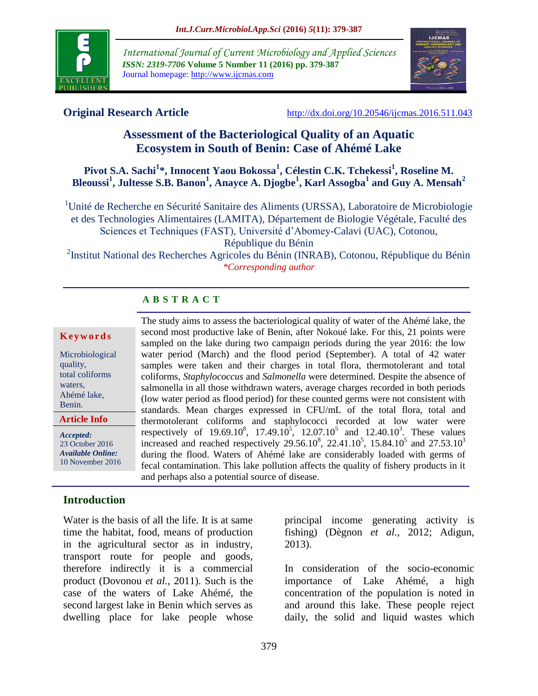

*International Journal of Current Microbiology and Applied Sciences ISSN: 2319-7706* **Volume 5 Number 11 (2016) pp. 379-387** Journal homepage: http://www.ijcmas.com



**Original Research Article** <http://dx.doi.org/10.20546/ijcmas.2016.511.043>

# **Assessment of the Bacteriological Quality of an Aquatic Ecosystem in South of Benin: Case of Ahémé Lake**

**Pivot S.A. Sachi<sup>1</sup> \*, Innocent Yaou Bokossa<sup>1</sup> , Célestin C.K. Tchekessi<sup>1</sup> , Roseline M. Bleoussi<sup>1</sup> , Jultesse S.B. Banon<sup>1</sup> , Anayce A. Djogbe<sup>1</sup> , Karl Assogba<sup>1</sup> and Guy A. Mensah<sup>2</sup>**

<sup>1</sup>Unité de Recherche en Sécurité Sanitaire des Aliments (URSSA), Laboratoire de Microbiologie et des Technologies Alimentaires (LAMITA), Département de Biologie Végétale, Faculté des Sciences et Techniques (FAST), Université d'Abomey-Calavi (UAC), Cotonou, République du Bénin

<sup>2</sup>Institut National des Recherches Agricoles du Bénin (INRAB), Cotonou, République du Bénin *\*Corresponding author*

## **A B S T R A C T**

#### **K e y w o r d s**

Microbiological quality, total coliforms waters, Ahémé lake, Benin.

*Accepted:*  23 October 2016

**Article Info**

*Available Online:* 10 November 2016

## **Introduction**

Water is the basis of all the life. It is at same time the habitat, food, means of production in the agricultural sector as in industry, transport route for people and goods, therefore indirectly it is a commercial product (Dovonou *et al.*, 2011). Such is the case of the waters of Lake Ahémé, the second largest lake in Benin which serves as dwelling place for lake people whose

The study aims to assess the bacteriological quality of water of the Ahémé lake, the second most productive lake of Benin, after Nokoué lake. For this, 21 points were sampled on the lake during two campaign periods during the year 2016: the low water period (March) and the flood period (September). A total of 42 water samples were taken and their charges in total flora, thermotolerant and total coliforms, *Staphylococcus* and *Salmonella* were determined. Despite the absence of salmonella in all those withdrawn waters, average charges recorded in both periods (low water period as flood period) for these counted germs were not consistent with standards. Mean charges expressed in CFU/mL of the total flora, total and thermotolerant coliforms and staphylococci recorded at low water were respectively of 19.69.10<sup>8</sup>, 17.49.10<sup>5</sup>, 12.07.10<sup>5</sup> and 12.40.10<sup>3</sup>. These values increased and reached respectively 29.56.10<sup>8</sup>, 22.41.10<sup>5</sup>, 15.84.10<sup>5</sup> and 27.53.10<sup>3</sup> during the flood. Waters of Ahémé lake are considerably loaded with germs of fecal contamination. This lake pollution affects the quality of fishery products in it and perhaps also a potential source of disease.

> principal income generating activity is fishing) (Dègnon *et al.*, 2012; Adigun, 2013).

> In consideration of the socio-economic importance of Lake Ahémé, a high concentration of the population is noted in and around this lake. These people reject daily, the solid and liquid wastes which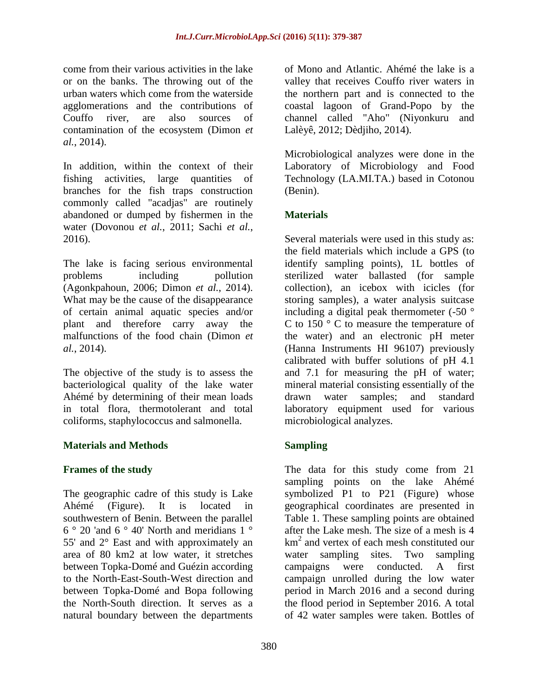come from their various activities in the lake or on the banks. The throwing out of the urban waters which come from the waterside agglomerations and the contributions of Couffo river, are also sources of contamination of the ecosystem (Dimon *et al.*, 2014).

In addition, within the context of their fishing activities, large quantities of branches for the fish traps construction commonly called "acadjas" are routinely abandoned or dumped by fishermen in the water (Dovonou *et al.*, 2011; Sachi *et al.*, 2016).

The lake is facing serious environmental problems including pollution (Agonkpahoun, 2006; Dimon *et al.*, 2014). What may be the cause of the disappearance of certain animal aquatic species and/or plant and therefore carry away the malfunctions of the food chain (Dimon *et al.*, 2014).

The objective of the study is to assess the bacteriological quality of the lake water Ahémé by determining of their mean loads in total flora, thermotolerant and total coliforms, staphylococcus and salmonella.

## **Materials and Methods**

#### **Frames of the study**

The geographic cadre of this study is Lake Ahémé (Figure). It is located in southwestern of Benin. Between the parallel 6 ° 20 'and 6 ° 40' North and meridians 1 ° 55' and 2° East and with approximately an area of 80 km2 at low water, it stretches between Topka-Domé and Guézin according to the North-East-South-West direction and between Topka-Domé and Bopa following the North-South direction. It serves as a natural boundary between the departments

of Mono and Atlantic. Ahémé the lake is a valley that receives Couffo river waters in the northern part and is connected to the coastal lagoon of Grand-Popo by the channel called "Aho" (Niyonkuru and Lalèyê, 2012; Dèdjiho, 2014).

Microbiological analyzes were done in the Laboratory of Microbiology and Food Technology (LA.MI.TA.) based in Cotonou (Benin).

## **Materials**

Several materials were used in this study as: the field materials which include a GPS (to identify sampling points), 1L bottles of sterilized water ballasted (for sample collection), an icebox with icicles (for storing samples), a water analysis suitcase including a digital peak thermometer (-50 ° C to 150 ° C to measure the temperature of the water) and an electronic pH meter (Hanna Instruments HI 96107) previously calibrated with buffer solutions of pH 4.1 and 7.1 for measuring the pH of water; mineral material consisting essentially of the drawn water samples; and standard laboratory equipment used for various microbiological analyzes.

## **Sampling**

The data for this study come from 21 sampling points on the lake Ahémé symbolized P1 to P21 (Figure) whose geographical coordinates are presented in Table 1. These sampling points are obtained after the Lake mesh. The size of a mesh is 4 km<sup>2</sup> and vertex of each mesh constituted our water sampling sites. Two sampling campaigns were conducted. A first campaign unrolled during the low water period in March 2016 and a second during the flood period in September 2016. A total of 42 water samples were taken. Bottles of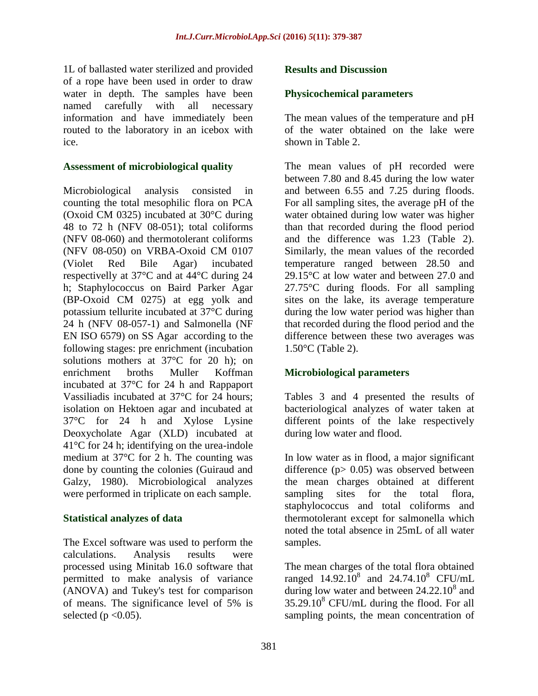1L of ballasted water sterilized and provided of a rope have been used in order to draw water in depth. The samples have been named carefully with all necessary information and have immediately been routed to the laboratory in an icebox with ice.

#### **Assessment of microbiological quality**

Microbiological analysis consisted in counting the total mesophilic flora on PCA (Oxoid CM 0325) incubated at 30°C during 48 to 72 h (NFV 08-051); total coliforms (NFV 08-060) and thermotolerant coliforms (NFV 08-050) on VRBA-Oxoid CM 0107 (Violet Red Bile Agar) incubated respectivelly at 37°C and at 44°C during 24 h; Staphylococcus on Baird Parker Agar (BP-Oxoid CM 0275) at egg yolk and potassium tellurite incubated at 37°C during 24 h (NFV 08-057-1) and Salmonella (NF EN ISO 6579) on SS Agar according to the following stages: pre enrichment (incubation solutions mothers at 37°C for 20 h); on enrichment broths Muller Koffman incubated at 37°C for 24 h and Rappaport Vassiliadis incubated at 37°C for 24 hours; isolation on Hektoen agar and incubated at 37°C for 24 h and Xylose Lysine Deoxycholate Agar (XLD) incubated at 41°C for 24 h; identifying on the urea-indole medium at 37°C for 2 h. The counting was done by counting the colonies (Guiraud and Galzy, 1980). Microbiological analyzes were performed in triplicate on each sample.

#### **Statistical analyzes of data**

The Excel software was used to perform the calculations. Analysis results were processed using Minitab 16.0 software that permitted to make analysis of variance (ANOVA) and Tukey's test for comparison of means. The significance level of 5% is selected ( $p < 0.05$ ).

#### **Results and Discussion**

#### **Physicochemical parameters**

The mean values of the temperature and pH of the water obtained on the lake were shown in Table 2.

The mean values of pH recorded were between 7.80 and 8.45 during the low water and between 6.55 and 7.25 during floods. For all sampling sites, the average pH of the water obtained during low water was higher than that recorded during the flood period and the difference was 1.23 (Table 2). Similarly, the mean values of the recorded temperature ranged between 28.50 and 29.15°C at low water and between 27.0 and 27.75°C during floods. For all sampling sites on the lake, its average temperature during the low water period was higher than that recorded during the flood period and the difference between these two averages was 1.50°C (Table 2).

## **Microbiological parameters**

Tables 3 and 4 presented the results of bacteriological analyzes of water taken at different points of the lake respectively during low water and flood.

In low water as in flood, a major significant difference ( $p$  = 0.05) was observed between the mean charges obtained at different sampling sites for the total flora, staphylococcus and total coliforms and thermotolerant except for salmonella which noted the total absence in 25mL of all water samples.

The mean charges of the total flora obtained ranged  $14.92.10^8$  and  $24.74.10^8$  CFU/mL during low water and between  $24.22.10^8$  and  $35.29.10^8$  CFU/mL during the flood. For all sampling points, the mean concentration of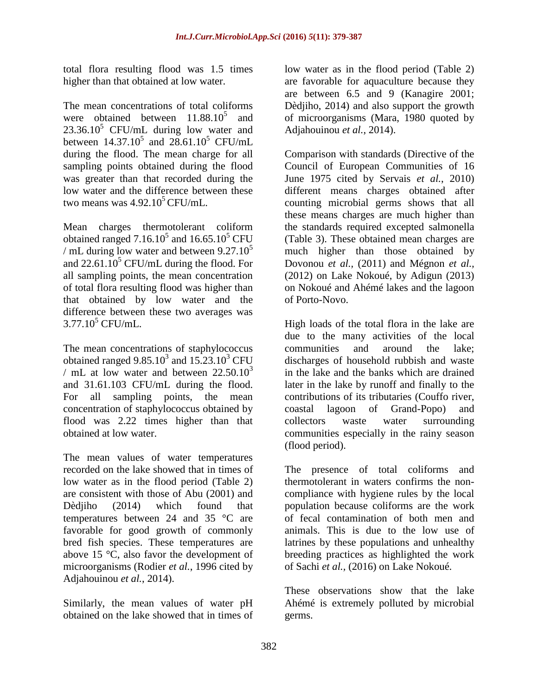total flora resulting flood was 1.5 times higher than that obtained at low water.

The mean concentrations of total coliforms were obtained between  $11.88.10^5$  and  $23.36.10<sup>5</sup>$  CFU/mL during low water and between  $14.37.10^{5}$  and  $28.61.10^{5}$  CFU/mL during the flood. The mean charge for all sampling points obtained during the flood was greater than that recorded during the low water and the difference between these two means was  $4.92.10^5$  CFU/mL.

Mean charges thermotolerant coliform obtained ranged  $7.16.10^5$  and  $16.65.10^5$  CFU / mL during low water and between  $9.27.10^{5}$ and  $22.61.10<sup>5</sup>$  CFU/mL during the flood. For all sampling points, the mean concentration of total flora resulting flood was higher than that obtained by low water and the difference between these two averages was  $3.77.10^{5}$  CFU/mL.

The mean concentrations of staphylococcus obtained ranged  $9.85.10^3$  and  $15.23.10^3$  CFU / mL at low water and between  $22.50.10<sup>3</sup>$ and 31.61.103 CFU/mL during the flood. For all sampling points, the mean concentration of staphylococcus obtained by flood was 2.22 times higher than that obtained at low water.

The mean values of water temperatures recorded on the lake showed that in times of low water as in the flood period (Table 2) are consistent with those of Abu (2001) and Dèdiiho (2014) which found that temperatures between 24 and 35 °C are favorable for good growth of commonly bred fish species. These temperatures are above 15 °C, also favor the development of microorganisms (Rodier *et al.*, 1996 cited by Adjahouinou *et al.*, 2014).

Similarly, the mean values of water pH obtained on the lake showed that in times of low water as in the flood period (Table 2) are favorable for aquaculture because they are between 6.5 and 9 (Kanagire 2001; Dèdjiho, 2014) and also support the growth of microorganisms (Mara, 1980 quoted by Adjahouinou *et al.*, 2014).

Comparison with standards (Directive of the Council of European Communities of 16 June 1975 cited by Servais *et al.*, 2010) different means charges obtained after counting microbial germs shows that all these means charges are much higher than the standards required excepted salmonella (Table 3). These obtained mean charges are much higher than those obtained by Dovonou *et al.,* (2011) and Mégnon *et al.,* (2012) on Lake Nokoué, by Adigun (2013) on Nokoué and Ahémé lakes and the lagoon of Porto-Novo.

High loads of the total flora in the lake are due to the many activities of the local communities and around the lake; discharges of household rubbish and waste in the lake and the banks which are drained later in the lake by runoff and finally to the contributions of its tributaries (Couffo river, coastal lagoon of Grand-Popo) and collectors waste water surrounding communities especially in the rainy season (flood period).

The presence of total coliforms and thermotolerant in waters confirms the noncompliance with hygiene rules by the local population because coliforms are the work of fecal contamination of both men and animals. This is due to the low use of latrines by these populations and unhealthy breeding practices as highlighted the work of Sachi *et al.,* (2016) on Lake Nokoué.

These observations show that the lake Ahémé is extremely polluted by microbial germs.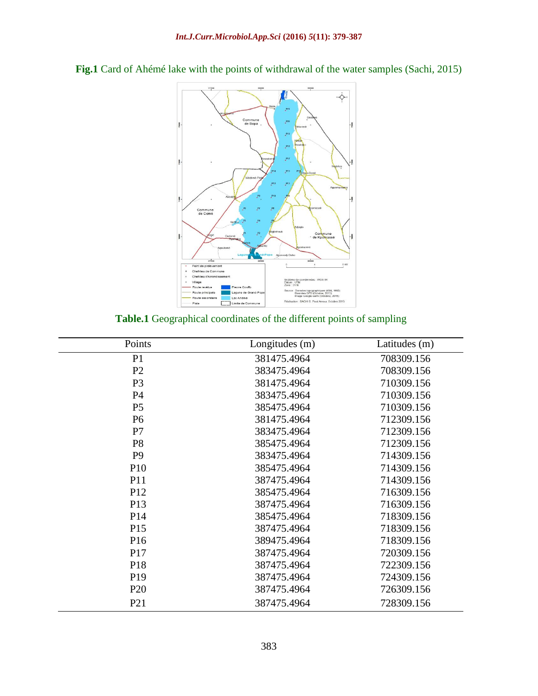

**Fig.1** Card of Ahémé lake with the points of withdrawal of the water samples (Sachi, 2015)

#### **Table.1** Geographical coordinates of the different points of sampling

| Points          | Longitudes (m) | Latitudes (m) |
|-----------------|----------------|---------------|
| P <sub>1</sub>  | 381475.4964    | 708309.156    |
| P <sub>2</sub>  | 383475.4964    | 708309.156    |
| P <sub>3</sub>  | 381475.4964    | 710309.156    |
| P <sub>4</sub>  | 383475.4964    | 710309.156    |
| P <sub>5</sub>  | 385475.4964    | 710309.156    |
| <b>P6</b>       | 381475.4964    | 712309.156    |
| P7              | 383475.4964    | 712309.156    |
| P <sub>8</sub>  | 385475.4964    | 712309.156    |
| P <sub>9</sub>  | 383475.4964    | 714309.156    |
| P <sub>10</sub> | 385475.4964    | 714309.156    |
| <b>P11</b>      | 387475.4964    | 714309.156    |
| P <sub>12</sub> | 385475.4964    | 716309.156    |
| P <sub>13</sub> | 387475.4964    | 716309.156    |
| P <sub>14</sub> | 385475.4964    | 718309.156    |
| P <sub>15</sub> | 387475.4964    | 718309.156    |
| P <sub>16</sub> | 389475.4964    | 718309.156    |
| P <sub>17</sub> | 387475.4964    | 720309.156    |
| P <sub>18</sub> | 387475.4964    | 722309.156    |
| P <sub>19</sub> | 387475.4964    | 724309.156    |
| P <sub>20</sub> | 387475.4964    | 726309.156    |
| P <sub>21</sub> | 387475.4964    | 728309.156    |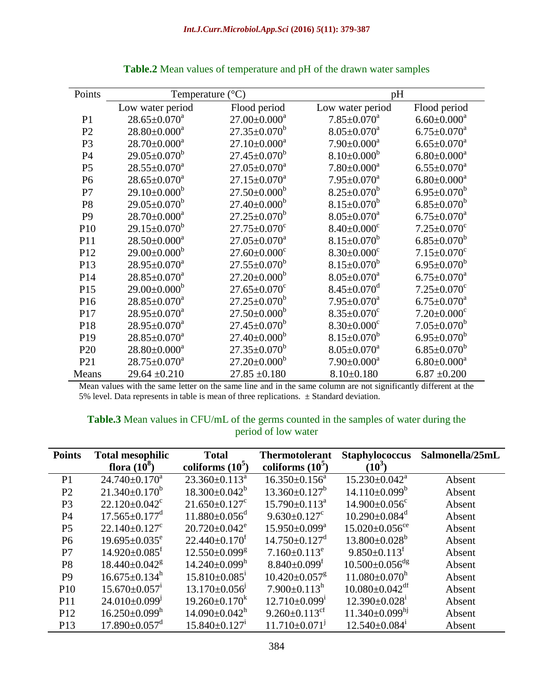| Points          | $(^\circ C)$<br>Temperature |                                | pH                            |                               |
|-----------------|-----------------------------|--------------------------------|-------------------------------|-------------------------------|
|                 | Low water period            | Flood period                   | Low water period              | Flood period                  |
| P <sub>1</sub>  | $28.65 \pm 0.070^a$         | $27.00 \pm 0.000$ <sup>a</sup> | $7.85 \pm 0.070$ <sup>a</sup> | $6.60 \pm 0.000$ <sup>a</sup> |
| P <sub>2</sub>  | $28.80 \pm 0.000^a$         | $27.35 \pm 0.070^b$            | $8.05 \pm 0.070$ <sup>a</sup> | $6.75 \pm 0.070$ <sup>a</sup> |
| P <sub>3</sub>  | $28.70 \pm 0.000^a$         | $27.10 \pm 0.000^a$            | $7.90 \pm 0.000^a$            | $6.65 \pm 0.070$ <sup>a</sup> |
| P4              | $29.05 \pm 0.070^b$         | $27.45 \pm 0.070^b$            | $8.10 \pm 0.000^b$            | $6.80 \pm 0.000^a$            |
| P <sub>5</sub>  | $28.55 \pm 0.070^a$         | $27.05 \pm 0.070$ <sup>a</sup> | $7.80 \pm 0.000$ <sup>a</sup> | $6.55 \pm 0.070$ <sup>a</sup> |
| P <sub>6</sub>  | $28.65 \pm 0.070^a$         | $27.15 \pm 0.070$ <sup>a</sup> | $7.95 \pm 0.070$ <sup>a</sup> | $6.80 \pm 0.000$ <sup>a</sup> |
| P7              | $29.10\pm0.000^b$           | $27.50\pm0.000^b$              | $8.25 \pm 0.070^b$            | $6.95 \pm 0.070^b$            |
| P <sub>8</sub>  | $29.05 \pm 0.070^b$         | $27.40 \pm 0.000^b$            | $8.15 \pm 0.070^b$            | $6.85 \pm 0.070^b$            |
| P <sub>9</sub>  | $28.70 \pm 0.000^a$         | $27.25 \pm 0.070^b$            | $8.05 \pm 0.070^a$            | $6.75 \pm 0.070$ <sup>a</sup> |
| P10             | $29.15 \pm 0.070^b$         | $27.75 \pm 0.070$ <sup>c</sup> | $8.40 \pm 0.000$ <sup>c</sup> | $7.25 \pm 0.070$ <sup>c</sup> |
| P11             | $28.50\pm0.000^a$           | $27.05 \pm 0.070$ <sup>a</sup> | $8.15 \pm 0.070^b$            | $6.85 \pm 0.070^b$            |
| P12             | $29.00 \pm 0.000^b$         | $27.60 \pm 0.000$ <sup>c</sup> | $8.30 \pm 0.000$ <sup>c</sup> | $7.15 \pm 0.070$ <sup>c</sup> |
| P <sub>13</sub> | $28.95 \pm 0.070^a$         | $27.55 \pm 0.070^b$            | $8.15 \pm 0.070^b$            | $6.95 \pm 0.070^b$            |
| P14             | $28.85 \pm 0.070^a$         | $27.20 \pm 0.000^b$            | $8.05 \pm 0.070^a$            | $6.75 \pm 0.070^a$            |
| P <sub>15</sub> | $29.00 \pm 0.000^b$         | $27.65 \pm 0.070$ <sup>c</sup> | $8.45 \pm 0.070$ <sup>d</sup> | $7.25 \pm 0.070$ <sup>c</sup> |
| P16             | $28.85 \pm 0.070^a$         | $27.25 \pm 0.070^b$            | $7.95 \pm 0.070$ <sup>a</sup> | $6.75 \pm 0.070$ <sup>a</sup> |
| P17             | $28.95 \pm 0.070^a$         | $27.50 \pm 0.000^b$            | $8.35 \pm 0.070$ <sup>c</sup> | $7.20 \pm 0.000$ <sup>c</sup> |
| P18             | $28.95 \pm 0.070^a$         | $27.45 \pm 0.070^b$            | $8.30 \pm 0.000$ <sup>c</sup> | $7.05 \pm 0.070^b$            |
| P <sub>19</sub> | $28.85 \pm 0.070^a$         | $27.40 \pm 0.000^b$            | $8.15 \pm 0.070^b$            | $6.95 \pm 0.070^b$            |
| P <sub>20</sub> | $28.80 \pm 0.000^a$         | $27.35 \pm 0.070^b$            | $8.05 \pm 0.070$ <sup>a</sup> | $6.85 \pm 0.070^b$            |
| P <sub>21</sub> | $28.75 \pm 0.070^a$         | $27.20 \pm 0.000^b$            | $7.90 \pm 0.000^a$            | $6.80 \pm 0.000^a$            |
| Means           | $29.64 \pm 0.210$           | $27.85 \pm 0.180$              | $8.10 \pm 0.180$              | $6.87 \pm 0.200$              |

**Table.2** Mean values of temperature and pH of the drawn water samples

Mean values with the same letter on the same line and in the same column are not significantly different at the 5% level. Data represents in table is mean of three replications.  $\pm$  Standard deviation.

| <b>Table.3</b> Mean values in CFU/mL of the germs counted in the samples of water during the |                     |  |
|----------------------------------------------------------------------------------------------|---------------------|--|
|                                                                                              | period of low water |  |

| <b>Points</b>   | <b>Total mesophilic</b>         | <b>Total</b>                    | <b>Thermotolerant</b>           | <b>Staphylococcus</b>            | Salmonella/25mL |
|-----------------|---------------------------------|---------------------------------|---------------------------------|----------------------------------|-----------------|
|                 | flora $(10^8)$                  | coliforms $(105)$               | coliforms $(105)$               | $(10^3)$                         |                 |
| P <sub>1</sub>  | $24.740 \pm 0.170$ <sup>a</sup> | $23.360 \pm 0.113^a$            | $16.350 \pm 0.156^a$            | $15.230 \pm 0.042^a$             | Absent          |
| P <sub>2</sub>  | $21.340 \pm 0.170^b$            | $18.300 \pm 0.042^b$            | $13.360 \pm 0.127^b$            | $14.110\pm0.099^b$               | Absent          |
| P <sub>3</sub>  | $22.120 \pm 0.042$ <sup>c</sup> | $21.650 \pm 0.127$ <sup>c</sup> | $15.790 \pm 0.113^a$            | $14.900 \pm 0.056$ <sup>c</sup>  | Absent          |
| P4              | $17.565 \pm 0.177$ <sup>d</sup> | $11.880 \pm 0.056$ <sup>d</sup> | $9.630 \pm 0.127$ <sup>c</sup>  | $10.290 \pm 0.084$ <sup>d</sup>  | Absent          |
| P <sub>5</sub>  | $22.140 \pm 0.127$ <sup>c</sup> | $20.720 \pm 0.042$ <sup>e</sup> | $15.950 \pm 0.099^{\text{a}}$   | $15.020 \pm 0.056$ <sup>ce</sup> | Absent          |
| P <sub>6</sub>  | $19.695 \pm 0.035$ <sup>e</sup> | $22.440 \pm 0.170^t$            | $14.750 \pm 0.127$ <sup>d</sup> | $13.800 \pm 0.028^b$             | Absent          |
| P7              | $14.920 \pm 0.085$ <sup>t</sup> | $12.550\pm0.099$ <sup>g</sup>   | $7.160 \pm 0.113$ <sup>e</sup>  | $9.850 \pm 0.113^t$              | Absent          |
| P <sub>8</sub>  | $18.440 \pm 0.042$ <sup>g</sup> | $14.240 \pm 0.099$ <sup>h</sup> | $8.840 \pm 0.099$ <sup>r</sup>  | $10.500 \pm 0.056$ <sup>dg</sup> | Absent          |
| P <sub>9</sub>  | $16.675 \pm 0.134$ <sup>h</sup> | $15.810\pm0.085$ <sup>1</sup>   | $10.420 \pm 0.057$ <sup>g</sup> | $11.080 \pm 0.070$ <sup>h</sup>  | Absent          |
| P <sub>10</sub> | $15.670 \pm 0.057$ <sup>1</sup> | $13.170 \pm 0.056$              | $7.900 \pm 0.113^h$             | $10.080 \pm 0.042$ <sup>df</sup> | Absent          |
| P11             | 24.010±0.099                    | $19.260 \pm 0.170^k$            | $12.710\pm0.099^1$              | $12.390 \pm 0.028$ <sup>1</sup>  | Absent          |
| P <sub>12</sub> | $16.250 \pm 0.099$ <sup>h</sup> | $14.090 \pm 0.042$ <sup>h</sup> | 9.260 $\pm$ 0.113 <sup>cf</sup> | $11.340\pm0.099^{h}$             | Absent          |
| P <sub>13</sub> | $17.890 \pm 0.057$ <sup>d</sup> | $15.840 \pm 0.127$ <sup>1</sup> | $11.710 \pm 0.071$ <sup>J</sup> | $12.540\pm0.084$ <sup>1</sup>    | Absent          |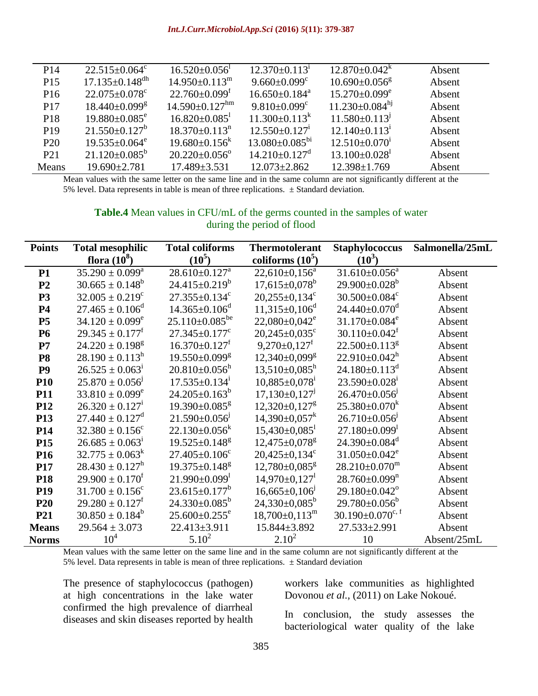| P <sub>14</sub> | $22.515 \pm 0.064$ <sup>c</sup>  | $16.520 \pm 0.056$               | $12.370 \pm 0.113$ <sup>1</sup> | $12.870 \pm 0.042^k$            | Absent |
|-----------------|----------------------------------|----------------------------------|---------------------------------|---------------------------------|--------|
| P <sub>15</sub> | $17.135 \pm 0.148$ <sup>dh</sup> | $14.950 \pm 0.113$ <sup>m</sup>  | $9.660 \pm 0.099$ <sup>c</sup>  | $10.690 \pm 0.056$ <sup>g</sup> | Absent |
| P <sub>16</sub> | $22.075 \pm 0.078$ <sup>c</sup>  | $22.760 \pm 0.099$ <sup>t</sup>  | $16.650\pm0.184^{\text{a}}$     | $15.270 \pm 0.099$ <sup>e</sup> | Absent |
| P <sub>17</sub> | $18.440 \pm 0.099$ <sup>g</sup>  | $14.590 \pm 0.127$ <sup>hm</sup> | $9.810 \pm 0.099$ <sup>c</sup>  | $11.230 \pm 0.084^{h}$          | Absent |
| P <sub>18</sub> | $19.880 \pm 0.085$ <sup>e</sup>  | $16.820 \pm 0.085$               | $11.300 \pm 0.113^k$            | $11.580 \pm 0.113$ <sup>1</sup> | Absent |
| P <sub>19</sub> | $21.550\pm0.127^b$               | $18.370 \pm 0.113$ <sup>n</sup>  | $12.550 \pm 0.127$ <sup>1</sup> | $12.140 \pm 0.113$ <sup>1</sup> | Absent |
| P <sub>20</sub> | $19.535 \pm 0.064$ <sup>e</sup>  | $19.680 \pm 0.156^k$             | $13.080 \pm 0.085^{bi}$         | $12.510\pm0.070^1$              | Absent |
| P <sub>21</sub> | $21.120 \pm 0.085^b$             | $20.220 \pm 0.056$ <sup>o</sup>  | $14.210 \pm 0.127$ <sup>d</sup> | $13.100 \pm 0.028$              | Absent |
| Means           | $19.690 \pm 2.781$               | $17.489 \pm 3.531$               | $12.073 \pm 2.862$              | $12.398 \pm 1.769$              | Absent |

Mean values with the same letter on the same line and in the same column are not significantly different at the 5% level. Data represents in table is mean of three replications.  $\pm$  Standard deviation.

#### **Table.4** Mean values in CFU/mL of the germs counted in the samples of water during the period of flood

| <b>Points</b>   | <b>Total mesophilic</b>         | <b>Total coliforms</b>          | <b>Thermotolerant</b>           | Staphylococcus                     | Salmonella/25mL |
|-----------------|---------------------------------|---------------------------------|---------------------------------|------------------------------------|-----------------|
|                 | flora $(10^8)$                  | $(10^5)$                        | coliforms $(10^5)$              | $(10^3)$                           |                 |
| <b>P1</b>       | $35.290 \pm 0.099^a$            | $28.610 \pm 0.127$ <sup>a</sup> | $22,610\pm0,156^a$              | $31.610\pm0.056^a$                 | Absent          |
| P <sub>2</sub>  | $30.665 \pm 0.148^b$            | $24.415 \pm 0.219^b$            | $17,615 \pm 0,078$ <sup>b</sup> | $29.900 \pm 0.028^b$               | Absent          |
| <b>P3</b>       | $32.005 \pm 0.219^c$            | $27.355 \pm 0.134$ <sup>c</sup> | $20,255\pm0,134^c$              | $30.500 \pm 0.084$ <sup>c</sup>    | Absent          |
| <b>P4</b>       | $27.465 \pm 0.106^{\circ}$      | $14.365 \pm 0.106$ <sup>d</sup> | $11,315\pm0,106^d$              | $24.440 \pm 0.070$ <sup>d</sup>    | Absent          |
| P <sub>5</sub>  | $34.120 \pm 0.099^e$            | $25.110\pm0.085^{be}$           | $22,080 \pm 0,042$ <sup>e</sup> | $31.170 \pm 0.084$ <sup>e</sup>    | Absent          |
| <b>P6</b>       | $29.345 \pm 0.177^t$            | $27.345 \pm 0.177$ <sup>c</sup> | $20,245\pm0,035^{\circ}$        | $30.110 \pm 0.042^t$               | Absent          |
| P7              | $24.220 \pm 0.198^g$            | $16.370 \pm 0.127$ <sup>f</sup> | $9,270\pm0,127^f$               | $22.500 \pm 0.113$ <sup>g</sup>    | Absent          |
| <b>P8</b>       | $28.190 \pm 0.113^h$            | 19.550±0.099 <sup>g</sup>       | $12,340\pm0,099$ <sup>g</sup>   | $22.910 \pm 0.042^h$               | Absent          |
| P <sub>9</sub>  | $26.525 \pm 0.063^1$            | $20.810 \pm 0.056$ <sup>h</sup> | $13,510\pm0.085^{\rm h}$        | $24.180 \pm 0.113$ <sup>d</sup>    | Absent          |
| <b>P10</b>      | $25.870 \pm 0.056$ <sup>1</sup> | $17.535 \pm 0.134$ <sup>1</sup> | $10,885 \pm 0,078$ <sup>1</sup> | $23.590 \pm 0.028$ <sup>1</sup>    | Absent          |
| <b>P11</b>      | $33.810 \pm 0.099^e$            | $24.205 \pm 0.163^b$            | $17,130\pm0,127$ <sup>J</sup>   | $26.470 \pm 0.056$ <sup>1</sup>    | Absent          |
| P <sub>12</sub> | $26.320 \pm 0.127$ <sup>1</sup> | $19.390 \pm 0.085$ <sup>g</sup> | $12,320 \pm 0,127$ <sup>g</sup> | $25.380 \pm 0.070^k$               | Absent          |
| P13             | $27.440 \pm 0.127$ <sup>d</sup> | $21.590 \pm 0.056$              | $14,390 \pm 0,057$ <sup>k</sup> | $26.710\pm0.056$ <sup>1</sup>      | Absent          |
| P <sub>14</sub> | $32.380 \pm 0.156$ <sup>c</sup> | $22.130 \pm 0.056^k$            | $15,430\pm0,085$ <sup>1</sup>   | $27.180 \pm 0.099$ <sup>1</sup>    | Absent          |
| P <sub>15</sub> | $26.685 \pm 0.063^1$            | $19.525 \pm 0.148$ <sup>g</sup> | $12,475 \pm 0,078$ <sup>g</sup> | $24.390 \pm 0.084$ <sup>d</sup>    | Absent          |
| P <sub>16</sub> | $32.775 \pm 0.063^k$            | $27.405 \pm 0.106$ <sup>c</sup> | $20,425\pm0,134^c$              | $31.050 \pm 0.042$ <sup>e</sup>    | Absent          |
| P17             | $28.430 \pm 0.127$ <sup>h</sup> | $19.375 \pm 0.148$ <sup>g</sup> | $12,780 \pm 0,085$ <sup>g</sup> | $28.210 \pm 0.070$ <sup>m</sup>    | Absent          |
| P18             | $29.900 \pm 0.170^{\text{t}}$   | $21.990 \pm 0.099$ <sup>1</sup> | $14,970\pm0,127$ <sup>1</sup>   | $28.760 \pm 0.099$ <sup>n</sup>    | Absent          |
| <b>P19</b>      | $31.700 \pm 0.156^c$            | $23.615 \pm 0.177^b$            | $16,665\pm0,106$ <sup>1</sup>   | $29.180 \pm 0.042$ <sup>o</sup>    | Absent          |
| P <sub>20</sub> | $29.280 \pm 0.127^{\mathrm{f}}$ | $24.330\pm0.085^b$              | $24,330\pm0,085^b$              | $29.780 \pm 0.056^b$               | Absent          |
| P21             | $30.850 \pm 0.184^b$            | $25.600 \pm 0.255$ <sup>e</sup> | $18,700 \pm 0,113$ <sup>m</sup> | $30.190 \pm 0.070$ <sup>c, f</sup> | Absent          |
| <b>Means</b>    | $29.564 \pm 3.073$              | $22.413 \pm 3.911$              | 15.844±3.892                    | 27.533±2.991                       | Absent          |
| <b>Norms</b>    | 10 <sup>4</sup>                 | $5.10^2$                        | $2.10^2$                        | 10                                 | Absent/25mL     |

Mean values with the same letter on the same line and in the same column are not significantly different at the 5% level. Data represents in table is mean of three replications.  $\pm$  Standard deviation

The presence of staphylococcus (pathogen) at high concentrations in the lake water confirmed the high prevalence of diarrheal diseases and skin diseases reported by health

workers lake communities as highlighted Dovonou *et al.,* (2011) on Lake Nokoué.

In conclusion, the study assesses the bacteriological water quality of the lake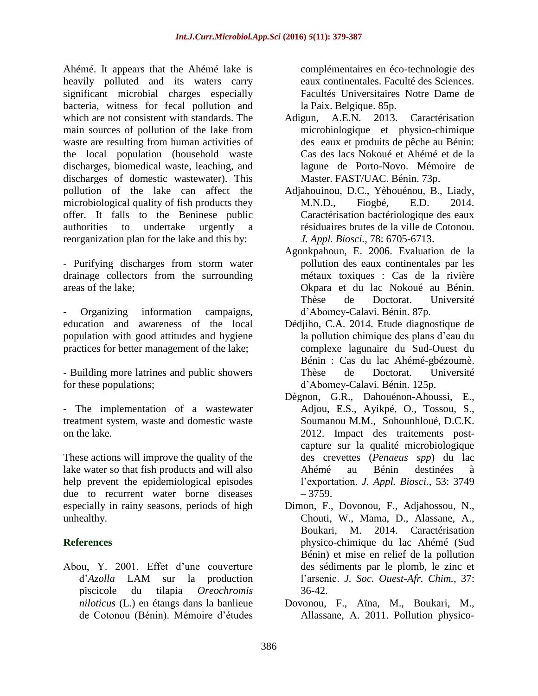Ahémé. It appears that the Ahémé lake is heavily polluted and its waters carry significant microbial charges especially bacteria, witness for fecal pollution and which are not consistent with standards. The main sources of pollution of the lake from waste are resulting from human activities of the local population (household waste discharges, biomedical waste, leaching, and discharges of domestic wastewater). This pollution of the lake can affect the microbiological quality of fish products they offer. It falls to the Beninese public authorities to undertake urgently reorganization plan for the lake and this by:

- Purifying discharges from storm water drainage collectors from the surrounding areas of the lake;

Organizing information campaigns, education and awareness of the local population with good attitudes and hygiene practices for better management of the lake;

- Building more latrines and public showers for these populations;
- The implementation of a wastewater treatment system, waste and domestic waste on the lake.

These actions will improve the quality of the lake water so that fish products and will also help prevent the epidemiological episodes due to recurrent water borne diseases especially in rainy seasons, periods of high unhealthy.

## **References**

Abou, Y. 2001. Effet d'une couverture d'*Azolla* LAM sur la production piscicole du tilapia *Oreochromis niloticus* (L.) en étangs dans la banlieue de Cotonou (Bénin). Mémoire d'études

complémentaires en éco-technologie des eaux continentales. Faculté des Sciences. Facultés Universitaires Notre Dame de la Paix. Belgique. 85p.

- Adigun, A.E.N. 2013. Caractérisation microbiologique et physico-chimique des eaux et produits de pêche au Bénin: Cas des lacs Nokoué et Ahémé et de la lagune de Porto-Novo. Mémoire de Master. FAST/UAC. Bénin. 73p.
- Adjahouinou, D.C., Yèhouénou, B., Liady, M.N.D., Fiogbé, E.D. 2014. Caractérisation bactériologique des eaux résiduaires brutes de la ville de Cotonou. *J. Appl. Biosci.,* 78: 6705-6713.
- Agonkpahoun, E. 2006. Evaluation de la pollution des eaux continentales par les métaux toxiques : Cas de la rivière Okpara et du lac Nokoué au Bénin. Thèse de Doctorat. Université d'Abomey-Calavi. Bénin. 87p.
- Dédjiho, C.A. 2014. Etude diagnostique de la pollution chimique des plans d'eau du complexe lagunaire du Sud-Ouest du Bénin : Cas du lac Ahémé-gbézoumè. Thèse de Doctorat. Université d'Abomey-Calavi. Bénin. 125p.
- Dègnon, G.R., Dahouénon-Ahoussi, E., Adjou, E.S., Ayikpé, O., Tossou, S., Soumanou M.M., Sohounhloué, D.C.K. 2012. Impact des traitements postcapture sur la qualité microbiologique des crevettes (*Penaeus spp*) du lac Ahémé au Bénin destinées à l'exportation. *J. Appl. Biosci.,* 53: 3749 – 3759.
- Dimon, F., Dovonou, F., Adjahossou, N., Chouti, W., Mama, D., Alassane, A., Boukari, M. 2014. Caractérisation physico-chimique du lac Ahémé (Sud Bénin) et mise en relief de la pollution des sédiments par le plomb, le zinc et l'arsenic. *J. Soc. Ouest-Afr. Chim.*, 37: 36-42.
- Dovonou, F., Aïna, M., Boukari, M., Allassane, A. 2011. Pollution physico-